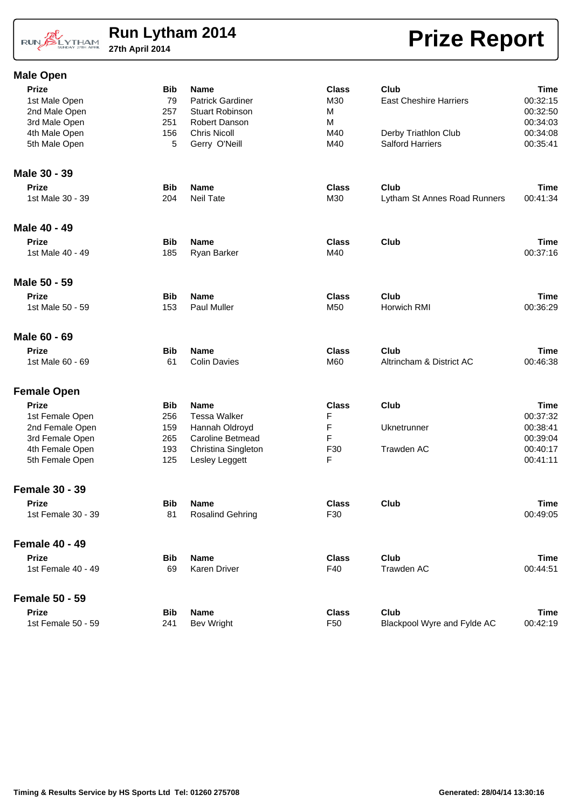### RUN BLYTHAM

# **Run Lytham 2014**<br>27th April 2014

#### **Male Open**

# **Prize Report**

| <b>Prize</b>          | <b>Bib</b> | <b>Name</b>             | <b>Class</b> | Club                          | Time        |
|-----------------------|------------|-------------------------|--------------|-------------------------------|-------------|
| 1st Male Open         | 79         | <b>Patrick Gardiner</b> | M30          | <b>East Cheshire Harriers</b> | 00:32:15    |
| 2nd Male Open         | 257        | <b>Stuart Robinson</b>  | M            |                               | 00:32:50    |
| 3rd Male Open         | 251        | Robert Danson           | M            |                               | 00:34:03    |
| 4th Male Open         | 156        | <b>Chris Nicoll</b>     | M40          | Derby Triathlon Club          | 00:34:08    |
| 5th Male Open         | 5          | Gerry O'Neill           | M40          | <b>Salford Harriers</b>       | 00:35:41    |
| Male 30 - 39          |            |                         |              |                               |             |
| <b>Prize</b>          | <b>Bib</b> | <b>Name</b>             | <b>Class</b> | Club                          | <b>Time</b> |
| 1st Male 30 - 39      | 204        | <b>Neil Tate</b>        | M30          | Lytham St Annes Road Runners  | 00:41:34    |
| Male 40 - 49          |            |                         |              |                               |             |
| <b>Prize</b>          | <b>Bib</b> | <b>Name</b>             | <b>Class</b> | Club                          | <b>Time</b> |
| 1st Male 40 - 49      | 185        | Ryan Barker             | M40          |                               | 00:37:16    |
| Male 50 - 59          |            |                         |              |                               |             |
| <b>Prize</b>          | <b>Bib</b> | <b>Name</b>             | <b>Class</b> | Club                          | <b>Time</b> |
| 1st Male 50 - 59      | 153        | Paul Muller             | M50          | Horwich RMI                   | 00:36:29    |
| Male 60 - 69          |            |                         |              |                               |             |
| <b>Prize</b>          | <b>Bib</b> | <b>Name</b>             | <b>Class</b> | Club                          | Time        |
| 1st Male 60 - 69      | 61         | <b>Colin Davies</b>     | M60          | Altrincham & District AC      | 00:46:38    |
| <b>Female Open</b>    |            |                         |              |                               |             |
| <b>Prize</b>          | <b>Bib</b> | <b>Name</b>             | <b>Class</b> | Club                          | <b>Time</b> |
| 1st Female Open       | 256        | <b>Tessa Walker</b>     | F            |                               | 00:37:32    |
| 2nd Female Open       | 159        | Hannah Oldroyd          | F            | Uknetrunner                   | 00:38:41    |
| 3rd Female Open       | 265        | Caroline Betmead        | F            |                               | 00:39:04    |
| 4th Female Open       | 193        | Christina Singleton     | F30          | Trawden AC                    | 00:40:17    |
| 5th Female Open       | 125        | Lesley Leggett          | F            |                               | 00:41:11    |
| <b>Female 30 - 39</b> |            |                         |              |                               |             |
| <b>Prize</b>          | <b>Bib</b> | <b>Name</b>             | <b>Class</b> | Club                          | <b>Time</b> |
| 1st Female 30 - 39    | 81         | Rosalind Gehring        | F30          |                               | 00:49:05    |
| <b>Female 40 - 49</b> |            |                         |              |                               |             |
| <b>Prize</b>          | <b>Bib</b> | <b>Name</b>             | <b>Class</b> | Club                          | <b>Time</b> |
| 1st Female 40 - 49    | 69         | Karen Driver            | F40          | Trawden AC                    | 00:44:51    |
| <b>Female 50 - 59</b> |            |                         |              |                               |             |
| <b>Prize</b>          | <b>Bib</b> | <b>Name</b>             | <b>Class</b> | Club                          | <b>Time</b> |
| 1st Female 50 - 59    | 241        | Bev Wright              | F50          | Blackpool Wyre and Fylde AC   | 00:42:19    |